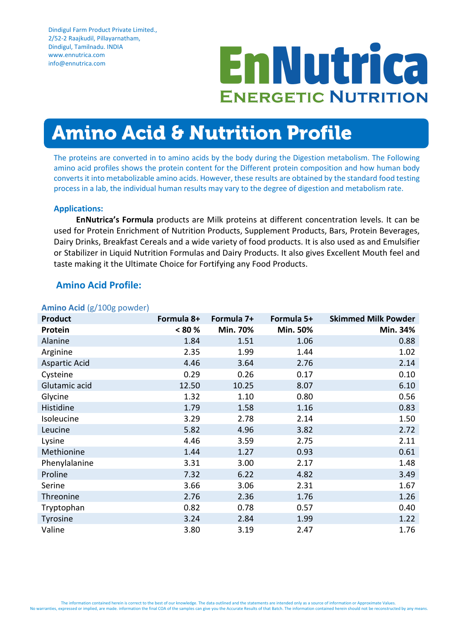# **EnNutrica ENERGETIC NUTRITION**

## Amino Acid & Nutrition Profile

The proteins are converted in to amino acids by the body during the Digestion metabolism. The Following amino acid profiles shows the protein content for the Different protein composition and how human body converts it into metabolizable amino acids. However, these results are obtained by the standard food testing process in a lab, the individual human results may vary to the degree of digestion and metabolism rate.

#### **Applications:**

**EnNutrica's Formula** products are Milk proteins at different concentration levels. It can be used for Protein Enrichment of Nutrition Products, Supplement Products, Bars, Protein Beverages, Dairy Drinks, Breakfast Cereals and a wide variety of food products. It is also used as and Emulsifier or Stabilizer in Liquid Nutrition Formulas and Dairy Products. It also gives Excellent Mouth feel and taste making it the Ultimate Choice for Fortifying any Food Products.

#### **Amino Acid Profile:**

|  |  |  | Amino Acid (g/100g powder) |
|--|--|--|----------------------------|
|--|--|--|----------------------------|

| $\overline{\phantom{a}}$<br><b>Product</b> | Formula 8+ | Formula 7+ | Formula 5+ | <b>Skimmed Milk Powder</b> |
|--------------------------------------------|------------|------------|------------|----------------------------|
| Protein                                    | $< 80 \%$  | Min. 70%   | Min. 50%   | Min. 34%                   |
| Alanine                                    | 1.84       | 1.51       | 1.06       | 0.88                       |
| Arginine                                   | 2.35       | 1.99       | 1.44       | 1.02                       |
| <b>Aspartic Acid</b>                       | 4.46       | 3.64       | 2.76       | 2.14                       |
| Cysteine                                   | 0.29       | 0.26       | 0.17       | 0.10                       |
| Glutamic acid                              | 12.50      | 10.25      | 8.07       | 6.10                       |
| Glycine                                    | 1.32       | 1.10       | 0.80       | 0.56                       |
| Histidine                                  | 1.79       | 1.58       | 1.16       | 0.83                       |
| Isoleucine                                 | 3.29       | 2.78       | 2.14       | 1.50                       |
| Leucine                                    | 5.82       | 4.96       | 3.82       | 2.72                       |
| Lysine                                     | 4.46       | 3.59       | 2.75       | 2.11                       |
| Methionine                                 | 1.44       | 1.27       | 0.93       | 0.61                       |
| Phenylalanine                              | 3.31       | 3.00       | 2.17       | 1.48                       |
| Proline                                    | 7.32       | 6.22       | 4.82       | 3.49                       |
| Serine                                     | 3.66       | 3.06       | 2.31       | 1.67                       |
| Threonine                                  | 2.76       | 2.36       | 1.76       | 1.26                       |
| Tryptophan                                 | 0.82       | 0.78       | 0.57       | 0.40                       |
| Tyrosine                                   | 3.24       | 2.84       | 1.99       | 1.22                       |
| Valine                                     | 3.80       | 3.19       | 2.47       | 1.76                       |